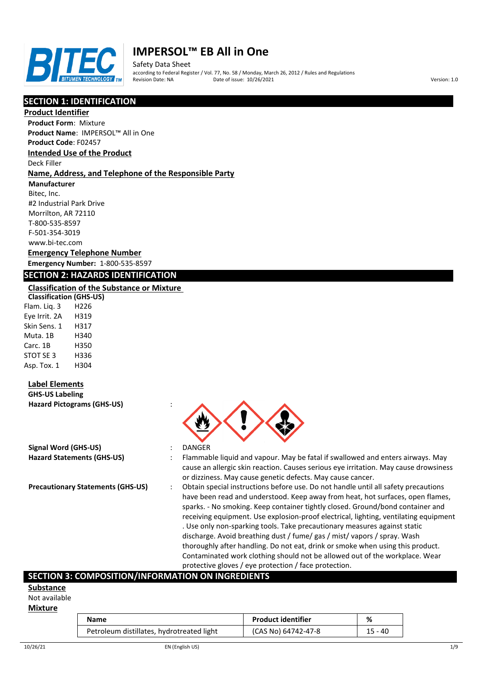

Safety Data Sheet according to Federal Register / Vol. 77, No. 58 / Monday, March 26, 2012 / Rules and Regulations Pate of issue: 10/26/2021 **Version: 1.0** 

## **SECTION 1: IDENTIFICATION**

### **Product Identifier**

**Product Form**: Mixture **Product Name**: IMPERSOL™ All in One

**Product Code**: F02457

### **Intended Use of the Product**

Deck Filler

### **Name, Address, and Telephone of the Responsible Party**

**Manufacturer**

Bitec, Inc. #2 Industrial Park Drive Morrilton, AR 72110 T-800-535-8597 F-501-354-3019 www.bi-tec.com

### **Emergency Telephone Number Emergency Number:** 1-800-535-8597

### **SECTION 2: HAZARDS IDENTIFICATION**

### **Classification of the Substance or Mixture**

**Classification (GHS-US)** Flam. Liq. 3 H226 Eye Irrit. 2A H319 Skin Sens. 1 H317 Muta. 1B H340 Carc. 1B H350 STOT SE 3 H336 Asp. Tox. 1 H304

### **Label Elements**

**GHS-US Labeling Hazard Pictograms (GHS-US)** :

| Signal Word (GHS-US)              |  |
|-----------------------------------|--|
| <b>Hazard Statements (GHS-US)</b> |  |

- 
- **Signal Word (GHS-US)** : DANGER
- : Flammable liquid and vapour. May be fatal if swallowed and enters airways. May cause an allergic skin reaction. Causes serious eye irritation. May cause drowsiness or dizziness. May cause genetic defects. May cause cancer.
- **Precautionary Statements (GHS-US)** : Obtain special instructions before use. Do not handle until all safety precautions have been read and understood. Keep away from heat, hot surfaces, open flames, sparks. - No smoking. Keep container tightly closed. Ground/bond container and receiving equipment. Use explosion-proof electrical, lighting, ventilating equipment . Use only non-sparking tools. Take precautionary measures against static discharge. Avoid breathing dust / fume/ gas / mist/ vapors / spray. Wash thoroughly after handling. Do not eat, drink or smoke when using this product. Contaminated work clothing should not be allowed out of the workplace. Wear protective gloves / eye protection / face protection.

### **SECTION 3: COMPOSITION/INFORMATION ON INGREDIENTS**

#### **Substance**

Not available

#### **Mixture**

| Name                                      | <b>Product identifier</b> | %         |
|-------------------------------------------|---------------------------|-----------|
| Petroleum distillates, hydrotreated light | (CAS No) 64742-47-8       | $15 - 40$ |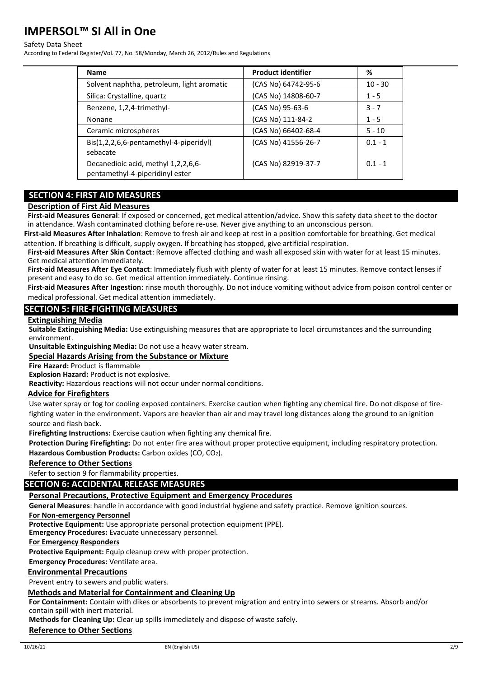#### Safety Data Sheet

According to Federal Register/Vol. 77, No. 58/Monday, March 26, 2012/Rules and Regulations

| <b>Name</b>                                                            | <b>Product identifier</b> | %         |
|------------------------------------------------------------------------|---------------------------|-----------|
| Solvent naphtha, petroleum, light aromatic                             | (CAS No) 64742-95-6       | $10 - 30$ |
| Silica: Crystalline, quartz                                            | (CAS No) 14808-60-7       | $1 - 5$   |
| Benzene, 1,2,4-trimethyl-                                              | (CAS No) 95-63-6          | $3 - 7$   |
| Nonane                                                                 | (CAS No) 111-84-2         | $1 - 5$   |
| Ceramic microspheres                                                   | (CAS No) 66402-68-4       | $5 - 10$  |
| Bis(1,2,2,6,6-pentamethyl-4-piperidyl)<br>sebacate                     | (CAS No) 41556-26-7       | $0.1 - 1$ |
| Decanedioic acid, methyl 1,2,2,6,6-<br>pentamethyl-4-piperidinyl ester | (CAS No) 82919-37-7       | $0.1 - 1$ |

## **SECTION 4: FIRST AID MEASURES**

### **Description of First Aid Measures**

**First-aid Measures General**: If exposed or concerned, get medical attention/advice. Show this safety data sheet to the doctor in attendance. Wash contaminated clothing before re-use. Never give anything to an unconscious person.

**First-aid Measures After Inhalation**: Remove to fresh air and keep at rest in a position comfortable for breathing. Get medical attention. If breathing is difficult, supply oxygen. If breathing has stopped, give artificial respiration.

**First-aid Measures After Skin Contact**: Remove affected clothing and wash all exposed skin with water for at least 15 minutes. Get medical attention immediately.

**First-aid Measures After Eye Contact**: Immediately flush with plenty of water for at least 15 minutes. Remove contact lenses if present and easy to do so. Get medical attention immediately. Continue rinsing.

**First-aid Measures After Ingestion**: rinse mouth thoroughly. Do not induce vomiting without advice from poison control center or medical professional. Get medical attention immediately.

### **SECTION 5: FIRE-FIGHTING MEASURES**

#### **Extinguishing Media**

**Suitable Extinguishing Media:** Use extinguishing measures that are appropriate to local circumstances and the surrounding environment.

**Unsuitable Extinguishing Media:** Do not use a heavy water stream.

### **Special Hazards Arising from the Substance or Mixture**

**Fire Hazard:** Product is flammable

**Explosion Hazard:** Product is not explosive.

**Reactivity:** Hazardous reactions will not occur under normal conditions.

### **Advice for Firefighters**

Use water spray or fog for cooling exposed containers. Exercise caution when fighting any chemical fire. Do not dispose of firefighting water in the environment. Vapors are heavier than air and may travel long distances along the ground to an ignition source and flash back.

**Firefighting Instructions:** Exercise caution when fighting any chemical fire.

**Protection During Firefighting:** Do not enter fire area without proper protective equipment, including respiratory protection. Hazardous Combustion Products: Carbon oxides (CO, CO<sub>2</sub>).

### **Reference to Other Sections**

Refer to section 9 for flammability properties.

### **SECTION 6: ACCIDENTAL RELEASE MEASURES**

### **Personal Precautions, Protective Equipment and Emergency Procedures**

**General Measures**: handle in accordance with good industrial hygiene and safety practice. Remove ignition sources.

**For Non-emergency Personnel**

**Protective Equipment:** Use appropriate personal protection equipment (PPE).

**Emergency Procedures:** Evacuate unnecessary personnel.

**For Emergency Responders**

**Protective Equipment:** Equip cleanup crew with proper protection.

**Emergency Procedures:** Ventilate area.

### **Environmental Precautions**

Prevent entry to sewers and public waters.

## **Methods and Material for Containment and Cleaning Up**

**For Containment:** Contain with dikes or absorbents to prevent migration and entry into sewers or streams. Absorb and/or contain spill with inert material.

**Methods for Cleaning Up:** Clear up spills immediately and dispose of waste safely.

# **Reference to Other Sections**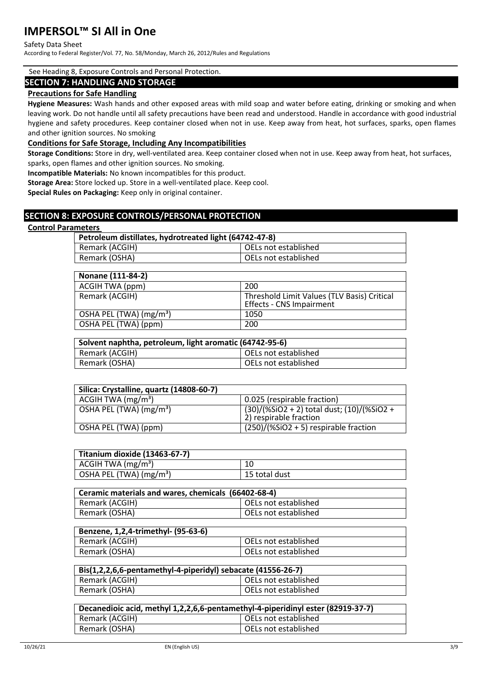#### Safety Data Sheet

According to Federal Register/Vol. 77, No. 58/Monday, March 26, 2012/Rules and Regulations

#### See Heading 8, Exposure Controls and Personal Protection.

### **SECTION 7: HANDLING AND STORAGE**

### **Precautions for Safe Handling**

**Hygiene Measures:** Wash hands and other exposed areas with mild soap and water before eating, drinking or smoking and when leaving work. Do not handle until all safety precautions have been read and understood. Handle in accordance with good industrial hygiene and safety procedures. Keep container closed when not in use. Keep away from heat, hot surfaces, sparks, open flames and other ignition sources. No smoking

### **Conditions for Safe Storage, Including Any Incompatibilities**

**Storage Conditions:** Store in dry, well-ventilated area. Keep container closed when not in use. Keep away from heat, hot surfaces, sparks, open flames and other ignition sources. No smoking.

**Incompatible Materials:** No known incompatibles for this product.

**Storage Area:** Store locked up. Store in a well-ventilated place. Keep cool.

**Special Rules on Packaging:** Keep only in original container.

### **SECTION 8: EXPOSURE CONTROLS/PERSONAL PROTECTION**

#### **Control Parameters**

| Petroleum distillates, hydrotreated light (64742-47-8) |                      |  |
|--------------------------------------------------------|----------------------|--|
| Remark (ACGIH)                                         | OELs not established |  |
| Remark (OSHA)                                          | OELs not established |  |

| Nonane (111-84-2)        |                                                                                |
|--------------------------|--------------------------------------------------------------------------------|
| ACGIH TWA (ppm)          | 200                                                                            |
| Remark (ACGIH)           | Threshold Limit Values (TLV Basis) Critical<br><b>Effects - CNS Impairment</b> |
| OSHA PEL (TWA) $(mg/m3)$ | 1050                                                                           |
| OSHA PEL (TWA) (ppm)     | 200                                                                            |

| Solvent naphtha, petroleum, light aromatic (64742-95-6) |                        |  |
|---------------------------------------------------------|------------------------|--|
| Remark (ACGIH)                                          | l OELs not established |  |
| Remark (OSHA)                                           | OELs not established   |  |

| Silica: Crystalline, quartz (14808-60-7) |                                                                      |
|------------------------------------------|----------------------------------------------------------------------|
| ACGIH TWA $(mg/m3)$                      | 0.025 (respirable fraction)                                          |
| OSHA PEL (TWA) (mg/m <sup>3</sup> )      | (30)/(%SiO2 + 2) total dust; (10)/(%SiO2 +<br>2) respirable fraction |
| OSHA PEL (TWA) (ppm)                     | $(250)/(%SiO2 + 5)$ respirable fraction                              |

| Titanium dioxide (13463-67-7)       |               |
|-------------------------------------|---------------|
| ACGIH TWA $(mg/m3)$                 |               |
| OSHA PEL (TWA) (mg/m <sup>3</sup> ) | 15 total dust |

| Ceramic materials and wares, chemicals (66402-68-4) |                      |
|-----------------------------------------------------|----------------------|
| Remark (ACGIH)                                      | OELs not established |
| Remark (OSHA)                                       | OELs not established |

| Benzene, 1,2,4-trimethyl- (95-63-6) |                      |
|-------------------------------------|----------------------|
| Remark (ACGIH)                      | OELs not established |
| Remark (OSHA)                       | OELs not established |

| Bis(1,2,2,6,6-pentamethyl-4-piperidyl) sebacate (41556-26-7) |                      |  |
|--------------------------------------------------------------|----------------------|--|
| Remark (ACGIH)                                               | OELs not established |  |
| Remark (OSHA)                                                | OELs not established |  |

| Decanedioic acid, methyl 1,2,2,6,6-pentamethyl-4-piperidinyl ester (82919-37-7) |                        |  |
|---------------------------------------------------------------------------------|------------------------|--|
| Remark (ACGIH)                                                                  | l OELs not established |  |
| Remark (OSHA)                                                                   | OELs not established   |  |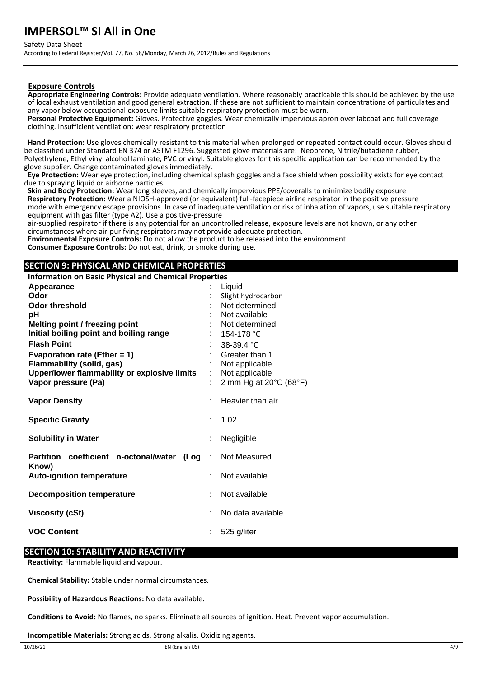Safety Data Sheet

According to Federal Register/Vol. 77, No. 58/Monday, March 26, 2012/Rules and Regulations

### **Exposure Controls**

**Appropriate Engineering Controls:** Provide adequate ventilation. Where reasonably practicable this should be achieved by the use of local exhaust ventilation and good general extraction. If these are not sufficient to maintain concentrations of particulates and any vapor below occupational exposure limits suitable respiratory protection must be worn.

**Personal Protective Equipment:** Gloves. Protective goggles. Wear chemically impervious apron over labcoat and full coverage clothing. Insufficient ventilation: wear respiratory protection

**Hand Protection:** Use gloves chemically resistant to this material when prolonged or repeated contact could occur. Gloves should be classified under Standard EN 374 or ASTM F1296. Suggested glove materials are: Neoprene, Nitrile/butadiene rubber, Polyethylene, Ethyl vinyl alcohol laminate, PVC or vinyl. Suitable gloves for this specific application can be recommended by the glove supplier. Change contaminated gloves immediately.

**Eye Protection:** Wear eye protection, including chemical splash goggles and a face shield when possibility exists for eye contact due to spraying liquid or airborne particles.

**Skin and Body Protection:** Wear long sleeves, and chemically impervious PPE/coveralls to minimize bodily exposure **Respiratory Protection:** Wear a NIOSH-approved (or equivalent) full-facepiece airline respirator in the positive pressure mode with emergency escape provisions. In case of inadequate ventilation or risk of inhalation of vapors, use suitable respiratory equipment with gas filter (type A2). Use a positive-pressure

air-supplied respirator if there is any potential for an uncontrolled release, exposure levels are not known, or any other circumstances where air-purifying respirators may not provide adequate protection.

**Environmental Exposure Controls:** Do not allow the product to be released into the environment. **Consumer Exposure Controls:** Do not eat, drink, or smoke during use.

## **SECTION 9: PHYSICAL AND CHEMICAL PROPERTIES**

**Information on Basic Physical and Chemical Properties** 

| Appearance                                                  | Liquid                 |
|-------------------------------------------------------------|------------------------|
| Odor                                                        | Slight hydrocarbon     |
| <b>Odor threshold</b>                                       | Not determined         |
| рH                                                          | Not available          |
| <b>Melting point / freezing point</b>                       | Not determined         |
| Initial boiling point and boiling range                     | 154-178 °C             |
| <b>Flash Point</b>                                          | 38-39.4 °C             |
| Evaporation rate (Ether = $1$ )                             | Greater than 1         |
| <b>Flammability (solid, gas)</b>                            | Not applicable         |
| Upper/lower flammability or explosive limits                | Not applicable         |
| Vapor pressure (Pa)                                         | 2 mm Hg at 20°C (68°F) |
| <b>Vapor Density</b>                                        | Heavier than air       |
| <b>Specific Gravity</b>                                     | 1.02                   |
| <b>Solubility in Water</b>                                  | Negligible             |
| Partition coefficient n-octonal/water<br>$($ Log :<br>Know) | Not Measured           |
| <b>Auto-ignition temperature</b>                            | Not available          |
| <b>Decomposition temperature</b>                            | Not available          |
| <b>Viscosity (cSt)</b>                                      | No data available      |
| <b>VOC Content</b>                                          | 525 g/liter            |

### **SECTION 10: STABILITY AND REACTIVITY**

**Reactivity:** Flammable liquid and vapour.

**Chemical Stability:** Stable under normal circumstances.

**Possibility of Hazardous Reactions:** No data available**.**

**Conditions to Avoid:** No flames, no sparks. Eliminate all sources of ignition. Heat. Prevent vapor accumulation.

**Incompatible Materials:** Strong acids. Strong alkalis. Oxidizing agents.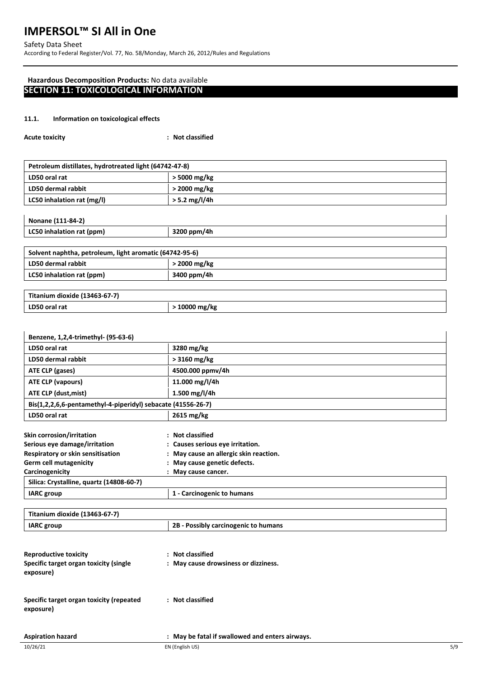Safety Data Sheet According to Federal Register/Vol. 77, No. 58/Monday, March 26, 2012/Rules and Regulations

## **Hazardous Decomposition Products:** No data available **SECTION 11: TOXICOLOGICAL INFORMATION**

### **11.1. Information on toxicological effects**

| <b>Acute toxicity</b> | : Not classified |
|-----------------------|------------------|
|-----------------------|------------------|

|  | Nonane (111-84-2) |
|--|-------------------|
|--|-------------------|

| INOIIdIIE (111-04-4)      |             |
|---------------------------|-------------|
| LC50 inhalation rat (ppm) | 3200 ppm/4h |
|                           |             |

## **Solvent naphtha, petroleum, light aromatic (64742-95-6)**

| LD50 dermal rabbit        | 2000 mg/kg  |
|---------------------------|-------------|
| LC50 inhalation rat (ppm) | 3400 ppm/4h |
|                           |             |

| Titanium dioxide (13463-67-7) |             |
|-------------------------------|-------------|
| LD50 oral rat                 | 10000 mg/kg |

| Benzene, 1,2,4-trimethyl- (95-63-6)                          |                                        |  |
|--------------------------------------------------------------|----------------------------------------|--|
| LD50 oral rat                                                | 3280 mg/kg                             |  |
| LD50 dermal rabbit                                           | $>$ 3160 mg/kg                         |  |
| ATE CLP (gases)                                              | 4500.000 ppmv/4h                       |  |
| ATE CLP (vapours)                                            | 11.000 mg/l/4h                         |  |
| ATE CLP (dust, mist)                                         | 1.500 mg/l/4h                          |  |
| Bis(1,2,2,6,6-pentamethyl-4-piperidyl) sebacate (41556-26-7) |                                        |  |
| LD50 oral rat                                                | 2615 mg/kg                             |  |
| <b>Skin corrosion/irritation</b>                             | : Not classified                       |  |
| Serious eye damage/irritation                                | : Causes serious eye irritation.       |  |
| Respiratory or skin sensitisation                            | : May cause an allergic skin reaction. |  |
| <b>Germ cell mutagenicity</b>                                | : May cause genetic defects.           |  |
| Carcinogenicity                                              | : May cause cancer.                    |  |
| Silica: Crystalline, quartz (14808-60-7)                     |                                        |  |
| <b>IARC</b> group                                            | 1 - Carcinogenic to humans             |  |

| Titanium dioxide (13463-67-7)                         |                                                 |  |
|-------------------------------------------------------|-------------------------------------------------|--|
| <b>IARC</b> group                                     | 2B - Possibly carcinogenic to humans            |  |
|                                                       |                                                 |  |
| <b>Reproductive toxicity</b>                          | : Not classified                                |  |
| Specific target organ toxicity (single<br>exposure)   | : May cause drowsiness or dizziness.            |  |
| Specific target organ toxicity (repeated<br>exposure) | : Not classified                                |  |
| <b>Aspiration hazard</b>                              | : May be fatal if swallowed and enters airways. |  |

 $\mathbf{I}$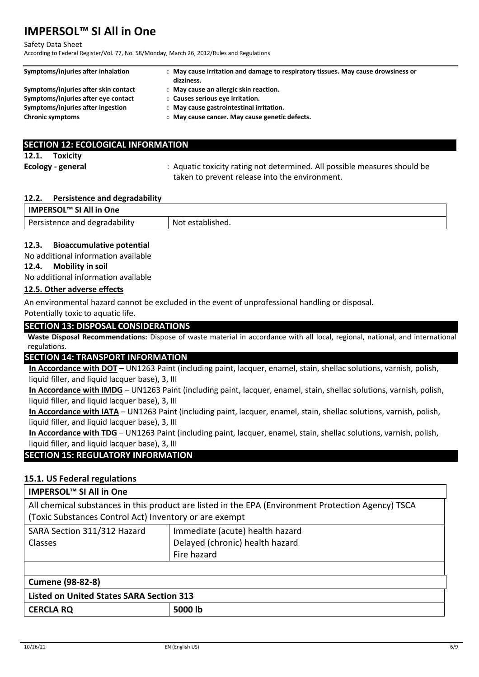#### Safety Data Sheet

According to Federal Register/Vol. 77, No. 58/Monday, March 26, 2012/Rules and Regulations

| Symptoms/injuries after inhalation   | : May cause irritation and damage to respiratory tissues. May cause drowsiness or<br>dizziness. |
|--------------------------------------|-------------------------------------------------------------------------------------------------|
| Symptoms/injuries after skin contact | : May cause an allergic skin reaction.                                                          |
| Symptoms/injuries after eye contact  | : Causes serious eye irritation.                                                                |
| Symptoms/injuries after ingestion    | : May cause gastrointestinal irritation.                                                        |
| <b>Chronic symptoms</b>              | : May cause cancer. May cause genetic defects.                                                  |

| <b>SECTION 12: ECOLOGICAL INFORMATION</b> |                                                                                                                             |
|-------------------------------------------|-----------------------------------------------------------------------------------------------------------------------------|
| 12.1. Toxicity                            |                                                                                                                             |
| Ecology - general                         | : Aquatic toxicity rating not determined. All possible measures should be<br>taken to prevent release into the environment. |

#### **12.2. Persistence and degradability**

| IMPERSOL™ SI All in One       |                  |
|-------------------------------|------------------|
| Persistence and degradability | Not established. |

### **12.3. Bioaccumulative potential**

No additional information available

### **12.4. Mobility in soil**

No additional information available

### **12.5. Other adverse effects**

An environmental hazard cannot be excluded in the event of unprofessional handling or disposal. Potentially toxic to aquatic life.

### **SECTION 13: DISPOSAL CONSIDERATIONS**

**Waste Disposal Recommendations:** Dispose of waste material in accordance with all local, regional, national, and international regulations.

### **SECTION 14: TRANSPORT INFORMATION**

**In Accordance with DOT** – UN1263 Paint (including paint, lacquer, enamel, stain, shellac solutions, varnish, polish, liquid filler, and liquid lacquer base), 3, III

**In Accordance with IMDG** – UN1263 Paint (including paint, lacquer, enamel, stain, shellac solutions, varnish, polish, liquid filler, and liquid lacquer base), 3, III

**In Accordance with IATA** – UN1263 Paint (including paint, lacquer, enamel, stain, shellac solutions, varnish, polish, liquid filler, and liquid lacquer base), 3, III

**In Accordance with TDG** – UN1263 Paint (including paint, lacquer, enamel, stain, shellac solutions, varnish, polish, liquid filler, and liquid lacquer base), 3, III

## **SECTION 15: REGULATORY INFORMATION**

## **15.1. US Federal regulations**

# **IMPERSOL™ SI All in One**

All chemical substances in this product are listed in the EPA (Environment Protection Agency) TSCA (Toxic Substances Control Act) Inventory or are exempt

| SARA Section 311/312 Hazard | Immediate (acute) health hazard |
|-----------------------------|---------------------------------|
| <b>Classes</b>              | Delayed (chronic) health hazard |
|                             | Fire hazard                     |
|                             |                                 |

| Cumene (98-82-8)                         |         |  |
|------------------------------------------|---------|--|
| Listed on United States SARA Section 313 |         |  |
| <b>CERCLA RQ</b>                         | 5000 lb |  |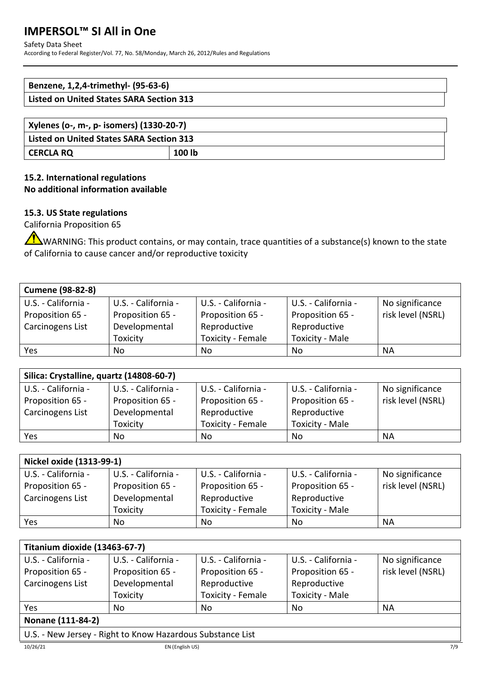### Safety Data Sheet

According to Federal Register/Vol. 77, No. 58/Monday, March 26, 2012/Rules and Regulations

| Benzene, 1,2,4-trimethyl- (95-63-6)             |  |
|-------------------------------------------------|--|
| <b>Listed on United States SARA Section 313</b> |  |
|                                                 |  |
| Xylenes (o-. m-. p- isomers) (1330-20-7)        |  |

| Xylenes (o-, m-, p- isomers) (1330-20-7) |        |  |
|------------------------------------------|--------|--|
| Listed on United States SARA Section 313 |        |  |
| CERCLA RQ                                | 100 lb |  |

## **15.2. International regulations No additional information available**

## **15.3. US State regulations**

California Proposition 65

WARNING: This product contains, or may contain, trace quantities of a substance(s) known to the state of California to cause cancer and/or reproductive toxicity

| <b>Cumene (98-82-8)</b> |                     |                     |                        |                   |
|-------------------------|---------------------|---------------------|------------------------|-------------------|
| U.S. - California -     | U.S. - California - | U.S. - California - | U.S. - California -    | No significance   |
| Proposition 65 -        | Proposition 65 -    | Proposition 65 -    | Proposition 65 -       | risk level (NSRL) |
| Carcinogens List        | Developmental       | Reproductive        | Reproductive           |                   |
|                         | Toxicity            | Toxicity - Female   | <b>Toxicity - Male</b> |                   |
| Yes                     | No                  | No.                 | No                     | NA                |

| Silica: Crystalline, quartz (14808-60-7) |                     |                     |                        |                   |
|------------------------------------------|---------------------|---------------------|------------------------|-------------------|
| U.S. - California -                      | U.S. - California - | U.S. - California - | U.S. - California -    | No significance   |
| Proposition 65 -                         | Proposition 65 -    | Proposition 65 -    | Proposition 65 -       | risk level (NSRL) |
| Carcinogens List                         | Developmental       | Reproductive        | Reproductive           |                   |
|                                          | Toxicity            | Toxicity - Female   | <b>Toxicity - Male</b> |                   |
| Yes                                      | No                  | No                  | No                     | <b>NA</b>         |

| Nickel oxide (1313-99-1) |                     |                     |                        |                   |
|--------------------------|---------------------|---------------------|------------------------|-------------------|
| U.S. - California -      | U.S. - California - | U.S. - California - | U.S. - California -    | No significance   |
| Proposition 65 -         | Proposition 65 -    | Proposition 65 -    | Proposition 65 -       | risk level (NSRL) |
| Carcinogens List         | Developmental       | Reproductive        | Reproductive           |                   |
|                          | Toxicity            | Toxicity - Female   | <b>Toxicity - Male</b> |                   |
| Yes                      | No.                 | No                  | No                     | <b>NA</b>         |

| Titanium dioxide (13463-67-7) |                     |                     |                        |                   |
|-------------------------------|---------------------|---------------------|------------------------|-------------------|
| U.S. - California -           | U.S. - California - | U.S. - California - | U.S. - California -    | No significance   |
| Proposition 65 -              | Proposition 65 -    | Proposition 65 -    | Proposition 65 -       | risk level (NSRL) |
| Carcinogens List              | Developmental       | Reproductive        | Reproductive           |                   |
|                               | Toxicity            | Toxicity - Female   | <b>Toxicity - Male</b> |                   |
| Yes                           | No                  | No                  | No                     | NА                |
| Nonane (111-84-2)             |                     |                     |                        |                   |

## **Nonane (111-84-2)**

U.S. - New Jersey - Right to Know Hazardous Substance List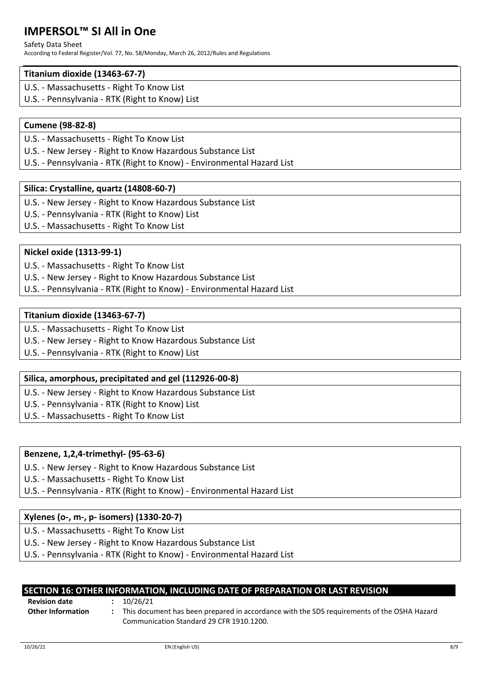### Safety Data Sheet

According to Federal Register/Vol. 77, No. 58/Monday, March 26, 2012/Rules and Regulations

## **Titanium dioxide (13463-67-7)**

- U.S. Massachusetts Right To Know List
- U.S. Pennsylvania RTK (Right to Know) List

# **Cumene (98-82-8)**

- U.S. Massachusetts Right To Know List
- U.S. New Jersey Right to Know Hazardous Substance List
- U.S. Pennsylvania RTK (Right to Know) Environmental Hazard List

# **Silica: Crystalline, quartz (14808-60-7)**

- U.S. New Jersey Right to Know Hazardous Substance List
- U.S. Pennsylvania RTK (Right to Know) List
- U.S. Massachusetts Right To Know List

# **Nickel oxide (1313-99-1)**

- U.S. Massachusetts Right To Know List
- U.S. New Jersey Right to Know Hazardous Substance List
- U.S. Pennsylvania RTK (Right to Know) Environmental Hazard List

## **Titanium dioxide (13463-67-7)**

- U.S. Massachusetts Right To Know List
- U.S. New Jersey Right to Know Hazardous Substance List
- U.S. Pennsylvania RTK (Right to Know) List

# **Silica, amorphous, precipitated and gel (112926-00-8)**

- U.S. New Jersey Right to Know Hazardous Substance List
- U.S. Pennsylvania RTK (Right to Know) List
- U.S. Massachusetts Right To Know List

# **Benzene, 1,2,4-trimethyl- (95-63-6)**

- U.S. New Jersey Right to Know Hazardous Substance List
- U.S. Massachusetts Right To Know List
- U.S. Pennsylvania RTK (Right to Know) Environmental Hazard List

## **Xylenes (o-, m-, p- isomers) (1330-20-7)**

- U.S. Massachusetts Right To Know List
- U.S. New Jersey Right to Know Hazardous Substance List
- U.S. Pennsylvania RTK (Right to Know) Environmental Hazard List

|                      | SECTION 16: OTHER INFORMATION, INCLUDING DATE OF PREPARATION OR LAST REVISION |  |
|----------------------|-------------------------------------------------------------------------------|--|
| <b>Revision date</b> | 10/26/21                                                                      |  |

**Other Information :** This document has been prepared in accordance with the SDS requirements of the OSHA Hazard Communication Standard 29 CFR 1910.1200.